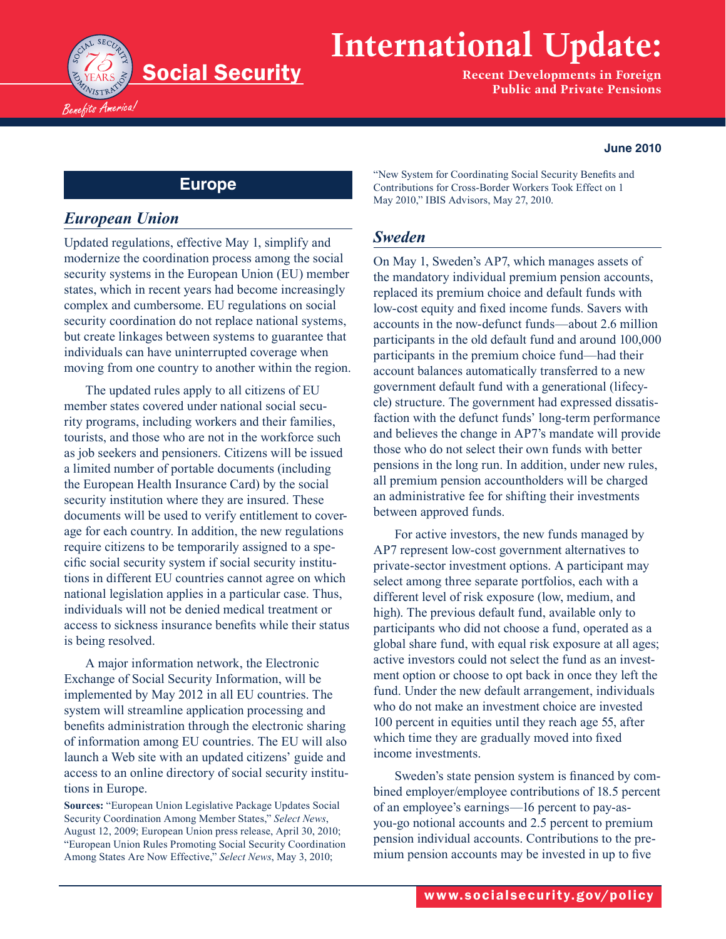

# **International Update:**

**Recent Developments in Foreign Public and Private Pensions**

#### **June 2010**

## **Europe**

#### *European Union*

Updated regulations, effective May 1, simplify and modernize the coordination process among the social security systems in the European Union (EU) member states, which in recent years had become increasingly complex and cumbersome. EU regulations on social security coordination do not replace national systems, but create linkages between systems to guarantee that individuals can have uninterrupted coverage when moving from one country to another within the region.

The updated rules apply to all citizens of EU member states covered under national social security programs, including workers and their families, tourists, and those who are not in the workforce such as job seekers and pensioners. Citizens will be issued a limited number of portable documents (including the European Health Insurance Card) by the social security institution where they are insured. These documents will be used to verify entitlement to coverage for each country. In addition, the new regulations require citizens to be temporarily assigned to a specific social security system if social security institutions in different EU countries cannot agree on which national legislation applies in a particular case. Thus, individuals will not be denied medical treatment or access to sickness insurance benefits while their status is being resolved.

A major information network, the Electronic Exchange of Social Security Information, will be implemented by May 2012 in all EU countries. The system will streamline application processing and benefits administration through the electronic sharing of information among EU countries. The EU will also launch a Web site with an updated citizens' guide and access to an online directory of social security institutions in Europe.

**Sources:** "European Union Legislative Package Updates Social Security Coordination Among Member States," *Select News*, August 12, 2009; European Union press release, April 30, 2010; "European Union Rules Promoting Social Security Coordination Among States Are Now Effective," *Select News*, May 3, 2010;

"New System for Coordinating Social Security Benefits and Contributions for Cross-Border Workers Took Effect on 1 May 2010," IBIS Advisors, May 27, 2010.

#### *Sweden*

On May 1, Sweden's AP7, which manages assets of the mandatory individual premium pension accounts, replaced its premium choice and default funds with low-cost equity and fixed income funds. Savers with accounts in the now-defunct funds—about 2.6 million participants in the old default fund and around 100,000 participants in the premium choice fund—had their account balances automatically transferred to a new government default fund with a generational (lifecycle) structure. The government had expressed dissatisfaction with the defunct funds' long-term performance and believes the change in AP7's mandate will provide those who do not select their own funds with better pensions in the long run. In addition, under new rules, all premium pension accountholders will be charged an administrative fee for shifting their investments between approved funds.

For active investors, the new funds managed by AP7 represent low-cost government alternatives to private-sector investment options. A participant may select among three separate portfolios, each with a different level of risk exposure (low, medium, and high). The previous default fund, available only to participants who did not choose a fund, operated as a global share fund, with equal risk exposure at all ages; active investors could not select the fund as an investment option or choose to opt back in once they left the fund. Under the new default arrangement, individuals who do not make an investment choice are invested 100 percent in equities until they reach age 55, after which time they are gradually moved into fixed income investments.

Sweden's state pension system is financed by combined employer/employee contributions of 18.5 percent of an employee's earnings—16 percent to pay-asyou-go notional accounts and 2.5 percent to premium pension individual accounts. Contributions to the premium pension accounts may be invested in up to five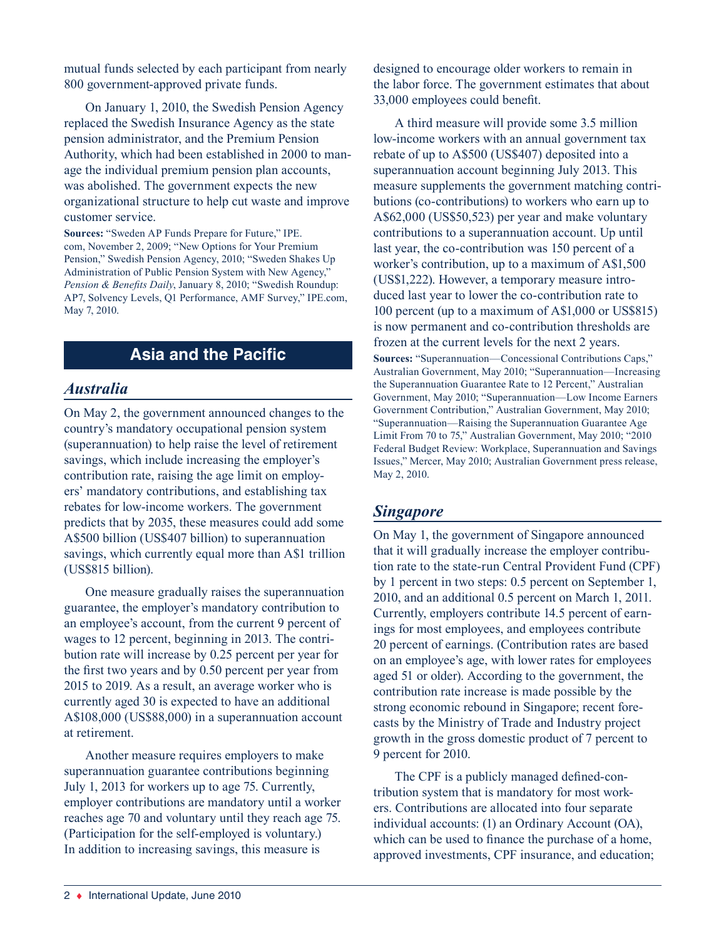mutual funds selected by each participant from nearly 800 government-approved private funds.

On January 1, 2010, the Swedish Pension Agency replaced the Swedish Insurance Agency as the state pension administrator, and the Premium Pension Authority, which had been established in 2000 to manage the individual premium pension plan accounts, was abolished. The government expects the new organizational structure to help cut waste and improve customer service.

**Sources:** "Sweden AP Funds Prepare for Future," IPE. com, November 2, 2009; "New Options for Your Premium Pension," Swedish Pension Agency, 2010; "Sweden Shakes Up Administration of Public Pension System with New Agency," *Pension & Benefits Daily*, January 8, 2010; "Swedish Roundup: AP7, Solvency Levels, Q1 Performance, AMF Survey," IPE.com, May 7, 2010.

## **Asia and the Pacific**

#### *Australia*

On May 2, the government announced changes to the country's mandatory occupational pension system (superannuation) to help raise the level of retirement savings, which include increasing the employer's contribution rate, raising the age limit on employers' mandatory contributions, and establishing tax rebates for low-income workers. The government predicts that by 2035, these measures could add some A\$500 billion (US\$407 billion) to superannuation savings, which currently equal more than A\$1 trillion (US\$815 billion).

One measure gradually raises the superannuation guarantee, the employer's mandatory contribution to an employee's account, from the current 9 percent of wages to 12 percent, beginning in 2013. The contribution rate will increase by 0.25 percent per year for the first two years and by 0.50 percent per year from 2015 to 2019. As a result, an average worker who is currently aged 30 is expected to have an additional A\$108,000 (US\$88,000) in a superannuation account at retirement.

Another measure requires employers to make superannuation guarantee contributions beginning July 1, 2013 for workers up to age 75. Currently, employer contributions are mandatory until a worker reaches age 70 and voluntary until they reach age 75. (Participation for the self-employed is voluntary.) In addition to increasing savings, this measure is

designed to encourage older workers to remain in the labor force. The government estimates that about 33,000 employees could benefit.

A third measure will provide some 3.5 million low-income workers with an annual government tax rebate of up to A\$500 (US\$407) deposited into a superannuation account beginning July 2013. This measure supplements the government matching contributions (co-contributions) to workers who earn up to A\$62,000 (US\$50,523) per year and make voluntary contributions to a superannuation account. Up until last year, the co-contribution was 150 percent of a worker's contribution, up to a maximum of A\$1,500 (US\$1,222). However, a temporary measure introduced last year to lower the co-contribution rate to 100 percent (up to a maximum of A\$1,000 or US\$815) is now permanent and co-contribution thresholds are frozen at the current levels for the next 2 years.

**Sources:** "Superannuation—Concessional Contributions Caps," Australian Government, May 2010; "Superannuation—Increasing the Superannuation Guarantee Rate to 12 Percent," Australian Government, May 2010; "Superannuation—Low Income Earners Government Contribution," Australian Government, May 2010; "Superannuation—Raising the Superannuation Guarantee Age Limit From 70 to 75," Australian Government, May 2010; "2010 Federal Budget Review: Workplace, Superannuation and Savings Issues," Mercer, May 2010; Australian Government press release, May 2, 2010.

### *Singapore*

On May 1, the government of Singapore announced that it will gradually increase the employer contribution rate to the state-run Central Provident Fund (CPF) by 1 percent in two steps: 0.5 percent on September 1, 2010, and an additional 0.5 percent on March 1, 2011. Currently, employers contribute 14.5 percent of earnings for most employees, and employees contribute 20 percent of earnings. (Contribution rates are based on an employee's age, with lower rates for employees aged 51 or older). According to the government, the contribution rate increase is made possible by the strong economic rebound in Singapore; recent forecasts by the Ministry of Trade and Industry project growth in the gross domestic product of 7 percent to 9 percent for 2010.

The CPF is a publicly managed defined-contribution system that is mandatory for most workers. Contributions are allocated into four separate individual accounts: (1) an Ordinary Account (OA), which can be used to finance the purchase of a home, approved investments, CPF insurance, and education;